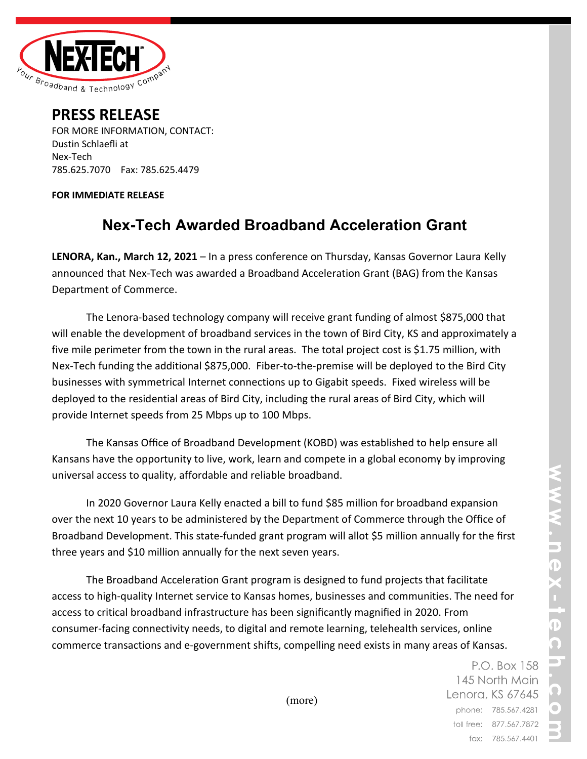

## **PRESS RELEASE**

FOR MORE INFORMATION, CONTACT: Dustin Schlaefli at Nex-Tech 785.625.7070 Fax: 785.625.4479

## **FOR IMMEDIATE RELEASE**

## **Nex-Tech Awarded Broadband Acceleration Grant**

**LENORA, Kan., March 12, 2021** – In a press conference on Thursday, Kansas Governor Laura Kelly announced that Nex-Tech was awarded a Broadband Acceleration Grant (BAG) from the Kansas Department of Commerce.

The Lenora-based technology company will receive grant funding of almost \$875,000 that will enable the development of broadband services in the town of Bird City, KS and approximately a five mile perimeter from the town in the rural areas. The total project cost is \$1.75 million, with Nex-Tech funding the additional \$875,000. Fiber-to-the-premise will be deployed to the Bird City businesses with symmetrical Internet connections up to Gigabit speeds. Fixed wireless will be deployed to the residential areas of Bird City, including the rural areas of Bird City, which will provide Internet speeds from 25 Mbps up to 100 Mbps.

The Kansas Office of Broadband Development (KOBD) was established to help ensure all Kansans have the opportunity to live, work, learn and compete in a global economy by improving universal access to quality, affordable and reliable broadband.

In 2020 Governor Laura Kelly enacted a bill to fund \$85 million for broadband expansion over the next 10 years to be administered by the Department of Commerce through the Office of Broadband Development. This state-funded grant program will allot \$5 million annually for the first three years and \$10 million annually for the next seven years.

The Broadband Acceleration Grant program is designed to fund projects that facilitate access to high-quality Internet service to Kansas homes, businesses and communities. The need for access to critical broadband infrastructure has been significantly magnified in 2020. From consumer-facing connectivity needs, to digital and remote learning, telehealth services, online commerce transactions and e-government shifts, compelling need exists in many areas of Kansas.

> P.O. Box 158 145 North Main Lenora, KS 67645 phone: 785.567.4281 toll free: 877.567.7872 fax: 785.567.4401

(more)